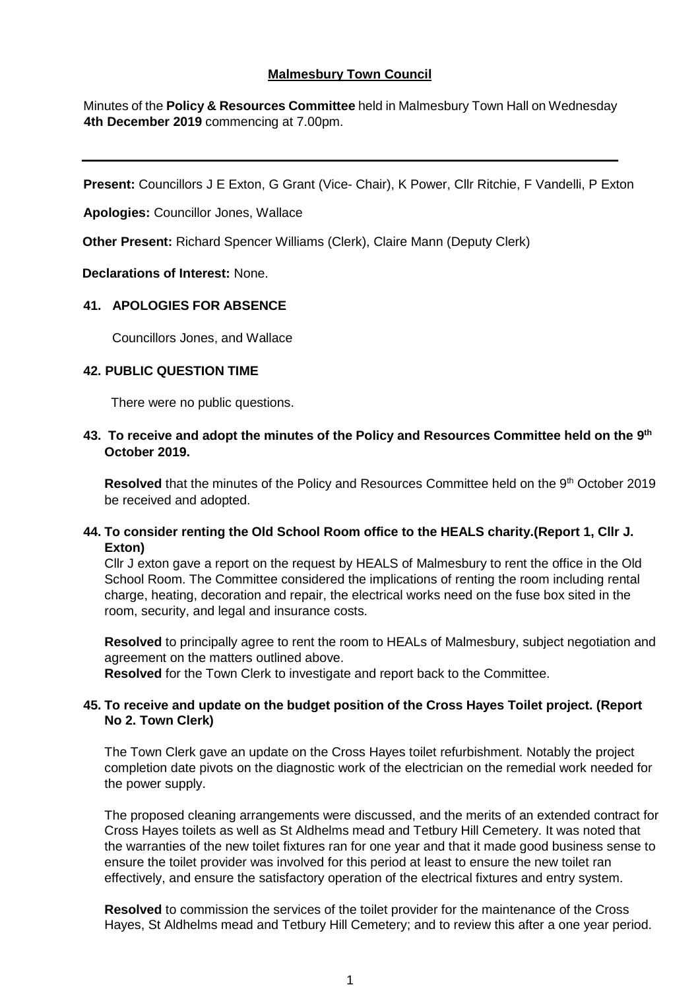# **Malmesbury Town Council**

Minutes of the **Policy & Resources Committee** held in Malmesbury Town Hall on Wednesday **4th December 2019** commencing at 7.00pm.

**Present:** Councillors J E Exton, G Grant (Vice- Chair), K Power, Cllr Ritchie, F Vandelli, P Exton

**Apologies:** Councillor Jones, Wallace

**Other Present:** Richard Spencer Williams (Clerk), Claire Mann (Deputy Clerk)

# **Declarations of Interest:** None.

# **41. APOLOGIES FOR ABSENCE**

Councillors Jones, and Wallace

# **42. PUBLIC QUESTION TIME**

There were no public questions.

**43. To receive and adopt the minutes of the Policy and Resources Committee held on the 9 th October 2019.**

**Resolved** that the minutes of the Policy and Resources Committee held on the 9<sup>th</sup> October 2019 be received and adopted.

# **44. To consider renting the Old School Room office to the HEALS charity.(Report 1, Cllr J. Exton)**

Cllr J exton gave a report on the request by HEALS of Malmesbury to rent the office in the Old School Room. The Committee considered the implications of renting the room including rental charge, heating, decoration and repair, the electrical works need on the fuse box sited in the room, security, and legal and insurance costs.

**Resolved** to principally agree to rent the room to HEALs of Malmesbury, subject negotiation and agreement on the matters outlined above.

**Resolved** for the Town Clerk to investigate and report back to the Committee.

# **45. To receive and update on the budget position of the Cross Hayes Toilet project. (Report No 2. Town Clerk)**

The Town Clerk gave an update on the Cross Hayes toilet refurbishment. Notably the project completion date pivots on the diagnostic work of the electrician on the remedial work needed for the power supply.

The proposed cleaning arrangements were discussed, and the merits of an extended contract for Cross Hayes toilets as well as St Aldhelms mead and Tetbury Hill Cemetery. It was noted that the warranties of the new toilet fixtures ran for one year and that it made good business sense to ensure the toilet provider was involved for this period at least to ensure the new toilet ran effectively, and ensure the satisfactory operation of the electrical fixtures and entry system.

**Resolved** to commission the services of the toilet provider for the maintenance of the Cross Hayes, St Aldhelms mead and Tetbury Hill Cemetery; and to review this after a one year period.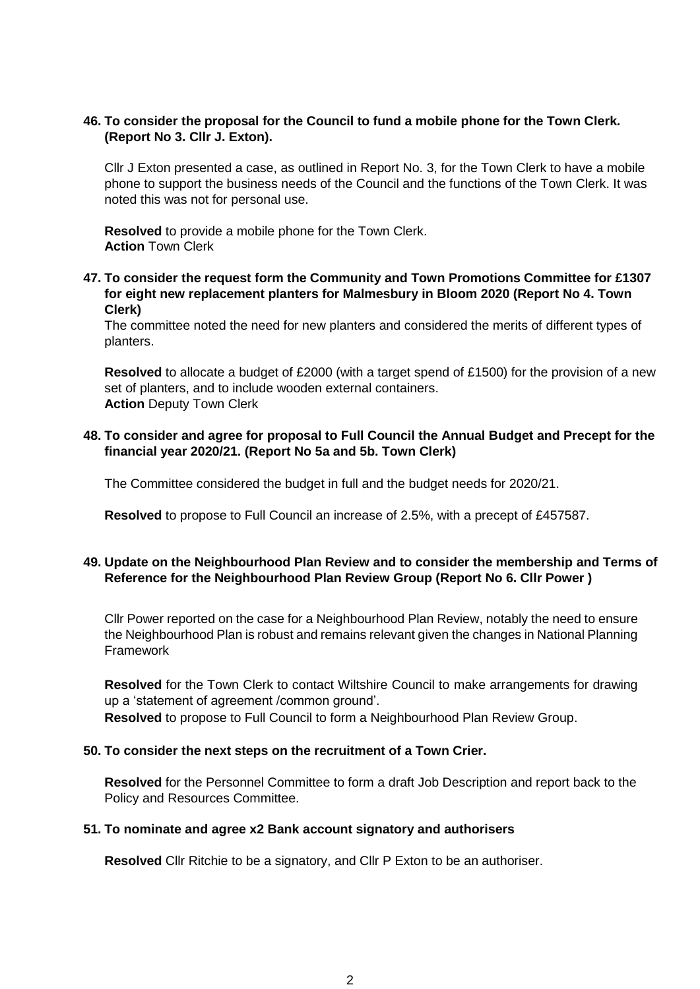#### **46. To consider the proposal for the Council to fund a mobile phone for the Town Clerk. (Report No 3. Cllr J. Exton).**

Cllr J Exton presented a case, as outlined in Report No. 3, for the Town Clerk to have a mobile phone to support the business needs of the Council and the functions of the Town Clerk. It was noted this was not for personal use.

**Resolved** to provide a mobile phone for the Town Clerk. **Action** Town Clerk

**47. To consider the request form the Community and Town Promotions Committee for £1307 for eight new replacement planters for Malmesbury in Bloom 2020 (Report No 4. Town Clerk)**

The committee noted the need for new planters and considered the merits of different types of planters.

**Resolved** to allocate a budget of £2000 (with a target spend of £1500) for the provision of a new set of planters, and to include wooden external containers. **Action** Deputy Town Clerk

## **48. To consider and agree for proposal to Full Council the Annual Budget and Precept for the financial year 2020/21. (Report No 5a and 5b. Town Clerk)**

The Committee considered the budget in full and the budget needs for 2020/21.

**Resolved** to propose to Full Council an increase of 2.5%, with a precept of £457587.

# **49. Update on the Neighbourhood Plan Review and to consider the membership and Terms of Reference for the Neighbourhood Plan Review Group (Report No 6. Cllr Power )**

Cllr Power reported on the case for a Neighbourhood Plan Review, notably the need to ensure the Neighbourhood Plan is robust and remains relevant given the changes in National Planning Framework

**Resolved** for the Town Clerk to contact Wiltshire Council to make arrangements for drawing up a 'statement of agreement /common ground'.

**Resolved** to propose to Full Council to form a Neighbourhood Plan Review Group.

#### **50. To consider the next steps on the recruitment of a Town Crier.**

**Resolved** for the Personnel Committee to form a draft Job Description and report back to the Policy and Resources Committee.

#### **51. To nominate and agree x2 Bank account signatory and authorisers**

**Resolved** Cllr Ritchie to be a signatory, and Cllr P Exton to be an authoriser.